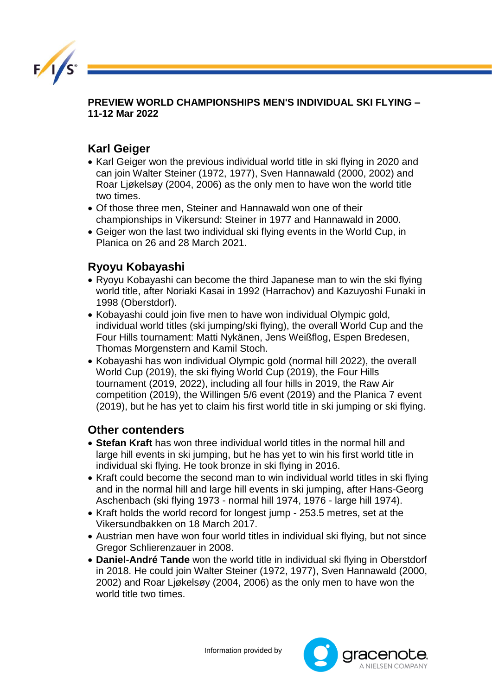

**PREVIEW WORLD CHAMPIONSHIPS MEN'S INDIVIDUAL SKI FLYING – 11-12 Mar 2022** 

## **Karl Geiger**

- Karl Geiger won the previous individual world title in ski flying in 2020 and can join Walter Steiner (1972, 1977), Sven Hannawald (2000, 2002) and Roar Ljøkelsøy (2004, 2006) as the only men to have won the world title two times.
- Of those three men, Steiner and Hannawald won one of their championships in Vikersund: Steiner in 1977 and Hannawald in 2000.
- Geiger won the last two individual ski flying events in the World Cup, in Planica on 26 and 28 March 2021.

## **Ryoyu Kobayashi**

- Ryoyu Kobayashi can become the third Japanese man to win the ski flying world title, after Noriaki Kasai in 1992 (Harrachov) and Kazuyoshi Funaki in 1998 (Oberstdorf).
- Kobayashi could join five men to have won individual Olympic gold, individual world titles (ski jumping/ski flying), the overall World Cup and the Four Hills tournament: Matti Nykänen, Jens Weißflog, Espen Bredesen, Thomas Morgenstern and Kamil Stoch.
- Kobayashi has won individual Olympic gold (normal hill 2022), the overall World Cup (2019), the ski flying World Cup (2019), the Four Hills tournament (2019, 2022), including all four hills in 2019, the Raw Air competition (2019), the Willingen 5/6 event (2019) and the Planica 7 event (2019), but he has yet to claim his first world title in ski jumping or ski flying.

## **Other contenders**

- **Stefan Kraft** has won three individual world titles in the normal hill and large hill events in ski jumping, but he has yet to win his first world title in individual ski flying. He took bronze in ski flying in 2016.
- Kraft could become the second man to win individual world titles in ski flying and in the normal hill and large hill events in ski jumping, after Hans-Georg Aschenbach (ski flying 1973 - normal hill 1974, 1976 - large hill 1974).
- Kraft holds the world record for longest jump 253.5 metres, set at the Vikersundbakken on 18 March 2017.
- Austrian men have won four world titles in individual ski flying, but not since Gregor Schlierenzauer in 2008.
- **Daniel-André Tande** won the world title in individual ski flying in Oberstdorf in 2018. He could join Walter Steiner (1972, 1977), Sven Hannawald (2000, 2002) and Roar Ljøkelsøy (2004, 2006) as the only men to have won the world title two times.

Information provided by